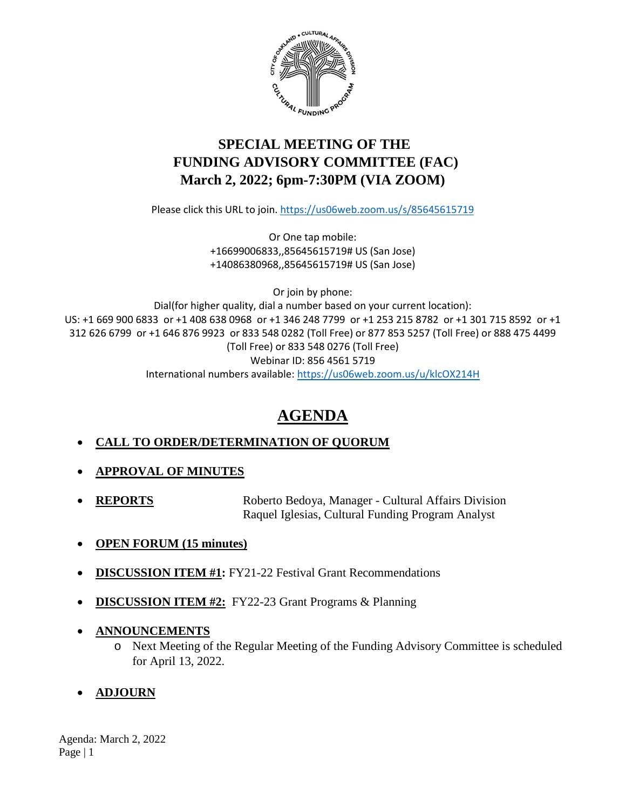

# **SPECIAL MEETING OF THE FUNDING ADVISORY COMMITTEE (FAC) March 2, 2022; 6pm-7:30PM (VIA ZOOM)**

Please click this URL to join.<https://us06web.zoom.us/s/85645615719>

Or One tap mobile: +16699006833,,85645615719# US (San Jose) +14086380968,,85645615719# US (San Jose)

Or join by phone:

Dial(for higher quality, dial a number based on your current location): US: +1 669 900 6833 or +1 408 638 0968 or +1 346 248 7799 or +1 253 215 8782 or +1 301 715 8592 or +1 312 626 6799 or +1 646 876 9923 or 833 548 0282 (Toll Free) or 877 853 5257 (Toll Free) or 888 475 4499 (Toll Free) or 833 548 0276 (Toll Free) Webinar ID: 856 4561 5719 International numbers available:<https://us06web.zoom.us/u/klcOX214H>

# **AGENDA**

# • **CALL TO ORDER/DETERMINATION OF QUORUM**

- **APPROVAL OF MINUTES**
- **REPORTS** Roberto Bedoya, Manager Cultural Affairs Division Raquel Iglesias, Cultural Funding Program Analyst
- **OPEN FORUM (15 minutes)**
- **DISCUSSION ITEM #1:** FY21-22 Festival Grant Recommendations
- **DISCUSSION ITEM #2:** FY22-23 Grant Programs & Planning
- **ANNOUNCEMENTS**
	- o Next Meeting of the Regular Meeting of the Funding Advisory Committee is scheduled for April 13, 2022.
- **ADJOURN**

Agenda: March 2, 2022 Page | 1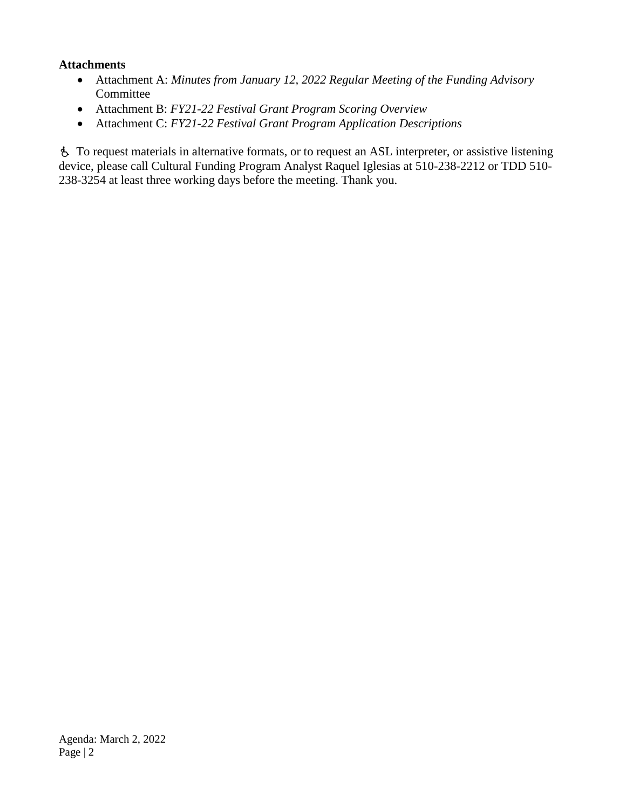### **Attachments**

- Attachment A: *Minutes from January 12, 2022 Regular Meeting of the Funding Advisory* Committee
- Attachment B: *FY21-22 Festival Grant Program Scoring Overview*
- Attachment C: *FY21-22 Festival Grant Program Application Descriptions*

 To request materials in alternative formats, or to request an ASL interpreter, or assistive listening device, please call Cultural Funding Program Analyst Raquel Iglesias at 510-238-2212 or TDD 510- 238-3254 at least three working days before the meeting. Thank you.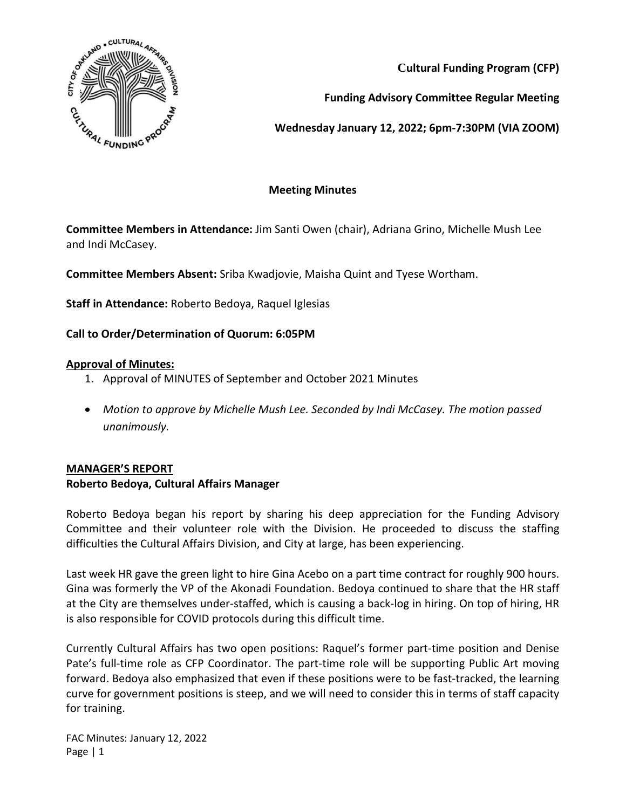

**Cultural Funding Program (CFP)**

**Funding Advisory Committee Regular Meeting**

**Wednesday January 12, 2022; 6pm-7:30PM (VIA ZOOM)**

## **Meeting Minutes**

**Committee Members in Attendance:** Jim Santi Owen (chair), Adriana Grino, Michelle Mush Lee and Indi McCasey.

**Committee Members Absent:** Sriba Kwadjovie, Maisha Quint and Tyese Wortham.

**Staff in Attendance:** Roberto Bedoya, Raquel Iglesias

# **Call to Order/Determination of Quorum: 6:05PM**

### **Approval of Minutes:**

- 1. Approval of MINUTES of September and October 2021 Minutes
- *Motion to approve by Michelle Mush Lee. Seconded by Indi McCasey. The motion passed unanimously.*

### **MANAGER'S REPORT**

### **Roberto Bedoya, Cultural Affairs Manager**

Roberto Bedoya began his report by sharing his deep appreciation for the Funding Advisory Committee and their volunteer role with the Division. He proceeded to discuss the staffing difficulties the Cultural Affairs Division, and City at large, has been experiencing.

Last week HR gave the green light to hire Gina Acebo on a part time contract for roughly 900 hours. Gina was formerly the VP of the Akonadi Foundation. Bedoya continued to share that the HR staff at the City are themselves under-staffed, which is causing a back-log in hiring. On top of hiring, HR is also responsible for COVID protocols during this difficult time.

Currently Cultural Affairs has two open positions: Raquel's former part-time position and Denise Pate's full-time role as CFP Coordinator. The part-time role will be supporting Public Art moving forward. Bedoya also emphasized that even if these positions were to be fast-tracked, the learning curve for government positions is steep, and we will need to consider this in terms of staff capacity for training.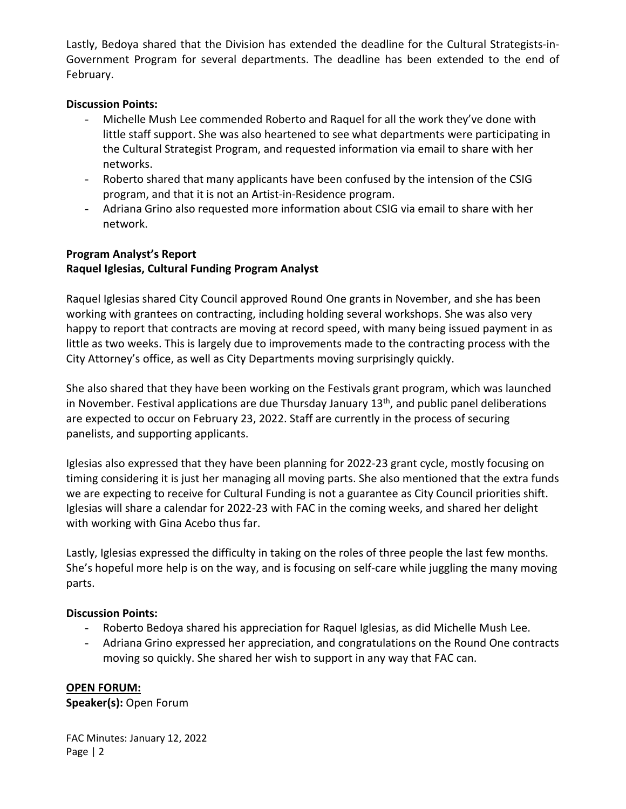Lastly, Bedoya shared that the Division has extended the deadline for the Cultural Strategists-in-Government Program for several departments. The deadline has been extended to the end of February.

### **Discussion Points:**

- Michelle Mush Lee commended Roberto and Raquel for all the work they've done with little staff support. She was also heartened to see what departments were participating in the Cultural Strategist Program, and requested information via email to share with her networks.
- Roberto shared that many applicants have been confused by the intension of the CSIG program, and that it is not an Artist-in-Residence program.
- Adriana Grino also requested more information about CSIG via email to share with her network.

## **Program Analyst's Report Raquel Iglesias, Cultural Funding Program Analyst**

Raquel Iglesias shared City Council approved Round One grants in November, and she has been working with grantees on contracting, including holding several workshops. She was also very happy to report that contracts are moving at record speed, with many being issued payment in as little as two weeks. This is largely due to improvements made to the contracting process with the City Attorney's office, as well as City Departments moving surprisingly quickly.

She also shared that they have been working on the Festivals grant program, which was launched in November. Festival applications are due Thursday January  $13<sup>th</sup>$ , and public panel deliberations are expected to occur on February 23, 2022. Staff are currently in the process of securing panelists, and supporting applicants.

Iglesias also expressed that they have been planning for 2022-23 grant cycle, mostly focusing on timing considering it is just her managing all moving parts. She also mentioned that the extra funds we are expecting to receive for Cultural Funding is not a guarantee as City Council priorities shift. Iglesias will share a calendar for 2022-23 with FAC in the coming weeks, and shared her delight with working with Gina Acebo thus far.

Lastly, Iglesias expressed the difficulty in taking on the roles of three people the last few months. She's hopeful more help is on the way, and is focusing on self-care while juggling the many moving parts.

#### **Discussion Points:**

- Roberto Bedoya shared his appreciation for Raquel Iglesias, as did Michelle Mush Lee.
- Adriana Grino expressed her appreciation, and congratulations on the Round One contracts moving so quickly. She shared her wish to support in any way that FAC can.

### **OPEN FORUM:**

**Speaker(s):** Open Forum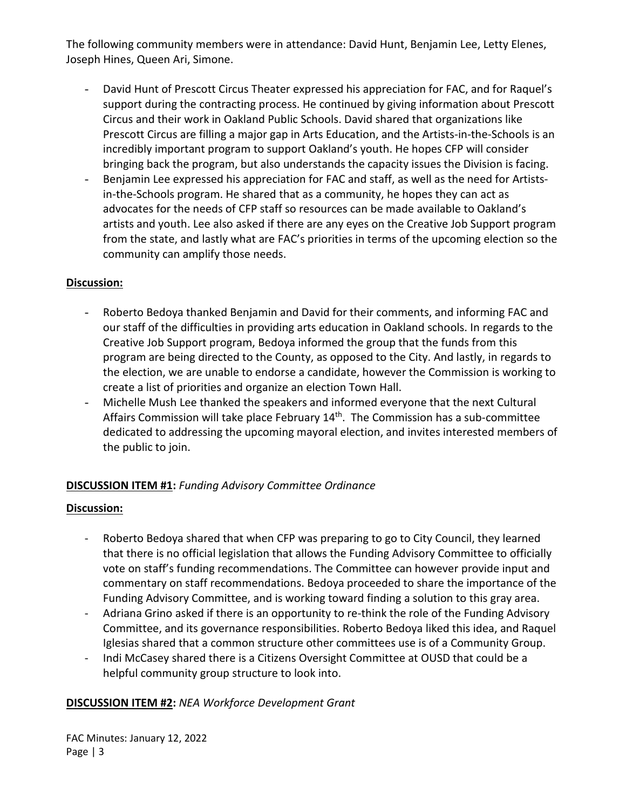The following community members were in attendance: David Hunt, Benjamin Lee, Letty Elenes, Joseph Hines, Queen Ari, Simone.

- David Hunt of Prescott Circus Theater expressed his appreciation for FAC, and for Raquel's support during the contracting process. He continued by giving information about Prescott Circus and their work in Oakland Public Schools. David shared that organizations like Prescott Circus are filling a major gap in Arts Education, and the Artists-in-the-Schools is an incredibly important program to support Oakland's youth. He hopes CFP will consider bringing back the program, but also understands the capacity issues the Division is facing.
- Benjamin Lee expressed his appreciation for FAC and staff, as well as the need for Artistsin-the-Schools program. He shared that as a community, he hopes they can act as advocates for the needs of CFP staff so resources can be made available to Oakland's artists and youth. Lee also asked if there are any eyes on the Creative Job Support program from the state, and lastly what are FAC's priorities in terms of the upcoming election so the community can amplify those needs.

### **Discussion:**

- Roberto Bedoya thanked Benjamin and David for their comments, and informing FAC and our staff of the difficulties in providing arts education in Oakland schools. In regards to the Creative Job Support program, Bedoya informed the group that the funds from this program are being directed to the County, as opposed to the City. And lastly, in regards to the election, we are unable to endorse a candidate, however the Commission is working to create a list of priorities and organize an election Town Hall.
- Michelle Mush Lee thanked the speakers and informed everyone that the next Cultural Affairs Commission will take place February 14<sup>th</sup>. The Commission has a sub-committee dedicated to addressing the upcoming mayoral election, and invites interested members of the public to join.

# **DISCUSSION ITEM #1:** *Funding Advisory Committee Ordinance*

### **Discussion:**

- Roberto Bedoya shared that when CFP was preparing to go to City Council, they learned that there is no official legislation that allows the Funding Advisory Committee to officially vote on staff's funding recommendations. The Committee can however provide input and commentary on staff recommendations. Bedoya proceeded to share the importance of the Funding Advisory Committee, and is working toward finding a solution to this gray area.
- Adriana Grino asked if there is an opportunity to re-think the role of the Funding Advisory Committee, and its governance responsibilities. Roberto Bedoya liked this idea, and Raquel Iglesias shared that a common structure other committees use is of a Community Group.
- Indi McCasey shared there is a Citizens Oversight Committee at OUSD that could be a helpful community group structure to look into.

### **DISCUSSION ITEM #2:** *NEA Workforce Development Grant*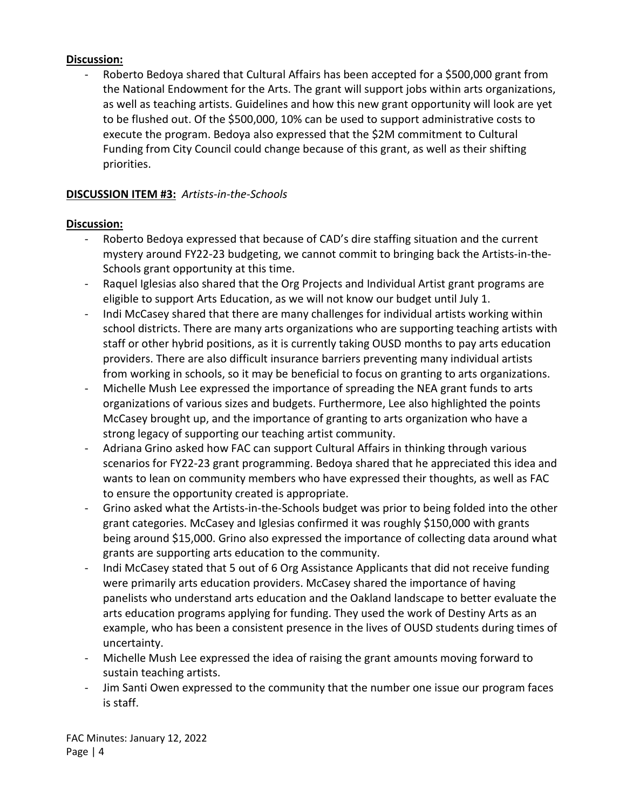### **Discussion:**

Roberto Bedoya shared that Cultural Affairs has been accepted for a \$500,000 grant from the National Endowment for the Arts. The grant will support jobs within arts organizations, as well as teaching artists. Guidelines and how this new grant opportunity will look are yet to be flushed out. Of the \$500,000, 10% can be used to support administrative costs to execute the program. Bedoya also expressed that the \$2M commitment to Cultural Funding from City Council could change because of this grant, as well as their shifting priorities.

### **DISCUSSION ITEM #3:** *Artists-in-the-Schools*

### **Discussion:**

- Roberto Bedoya expressed that because of CAD's dire staffing situation and the current mystery around FY22-23 budgeting, we cannot commit to bringing back the Artists-in-the-Schools grant opportunity at this time.
- Raquel Iglesias also shared that the Org Projects and Individual Artist grant programs are eligible to support Arts Education, as we will not know our budget until July 1.
- Indi McCasey shared that there are many challenges for individual artists working within school districts. There are many arts organizations who are supporting teaching artists with staff or other hybrid positions, as it is currently taking OUSD months to pay arts education providers. There are also difficult insurance barriers preventing many individual artists from working in schools, so it may be beneficial to focus on granting to arts organizations.
- Michelle Mush Lee expressed the importance of spreading the NEA grant funds to arts organizations of various sizes and budgets. Furthermore, Lee also highlighted the points McCasey brought up, and the importance of granting to arts organization who have a strong legacy of supporting our teaching artist community.
- Adriana Grino asked how FAC can support Cultural Affairs in thinking through various scenarios for FY22-23 grant programming. Bedoya shared that he appreciated this idea and wants to lean on community members who have expressed their thoughts, as well as FAC to ensure the opportunity created is appropriate.
- Grino asked what the Artists-in-the-Schools budget was prior to being folded into the other grant categories. McCasey and Iglesias confirmed it was roughly \$150,000 with grants being around \$15,000. Grino also expressed the importance of collecting data around what grants are supporting arts education to the community.
- Indi McCasey stated that 5 out of 6 Org Assistance Applicants that did not receive funding were primarily arts education providers. McCasey shared the importance of having panelists who understand arts education and the Oakland landscape to better evaluate the arts education programs applying for funding. They used the work of Destiny Arts as an example, who has been a consistent presence in the lives of OUSD students during times of uncertainty.
- Michelle Mush Lee expressed the idea of raising the grant amounts moving forward to sustain teaching artists.
- Jim Santi Owen expressed to the community that the number one issue our program faces is staff.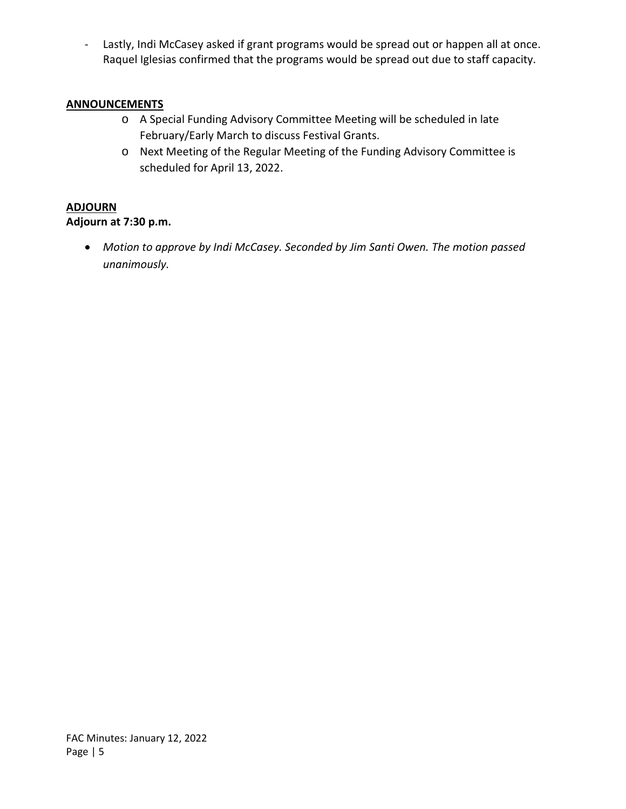- Lastly, Indi McCasey asked if grant programs would be spread out or happen all at once. Raquel Iglesias confirmed that the programs would be spread out due to staff capacity.

### **ANNOUNCEMENTS**

- o A Special Funding Advisory Committee Meeting will be scheduled in late February/Early March to discuss Festival Grants.
- o Next Meeting of the Regular Meeting of the Funding Advisory Committee is scheduled for April 13, 2022.

### **ADJOURN**

### **Adjourn at 7:30 p.m.**

• *Motion to approve by Indi McCasey. Seconded by Jim Santi Owen. The motion passed unanimously.*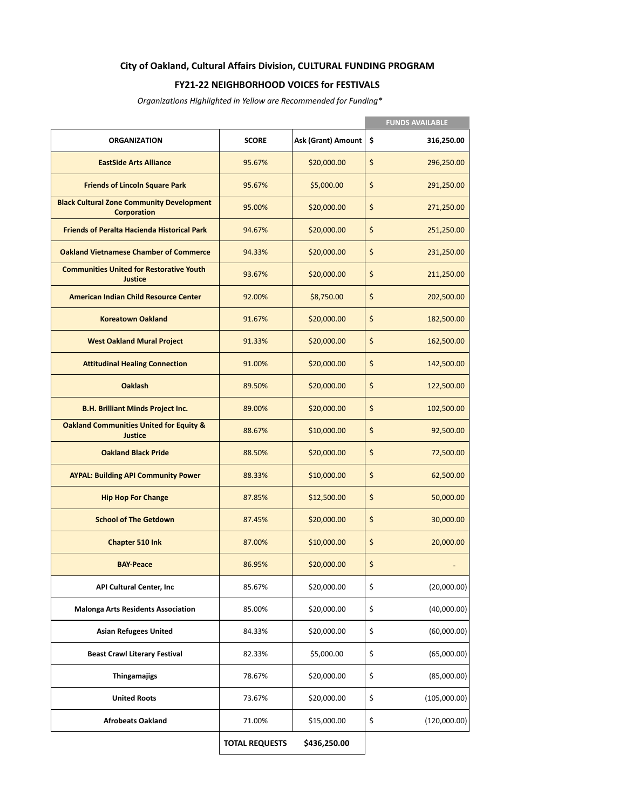#### **City of Oakland, Cultural Affairs Division, CULTURAL FUNDING PROGRAM**

#### **FY21-22 NEIGHBORHOOD VOICES for FESTIVALS**

*Organizations Highlighted in Yellow are Recommended for Funding\**

|                                                                        |                       |                    | <b>FUNDS AVAILABLE</b> |
|------------------------------------------------------------------------|-----------------------|--------------------|------------------------|
| <b>ORGANIZATION</b>                                                    | <b>SCORE</b>          | Ask (Grant) Amount | \$<br>316,250.00       |
| <b>EastSide Arts Alliance</b>                                          | 95.67%                | \$20,000.00        | \$<br>296,250.00       |
| <b>Friends of Lincoln Square Park</b>                                  | 95.67%                | \$5,000.00         | \$<br>291,250.00       |
| <b>Black Cultural Zone Community Development</b><br><b>Corporation</b> | 95.00%                | \$20,000.00        | \$<br>271,250.00       |
| <b>Friends of Peralta Hacienda Historical Park</b>                     | 94.67%                | \$20,000.00        | \$<br>251,250.00       |
| <b>Oakland Vietnamese Chamber of Commerce</b>                          | 94.33%                | \$20,000.00        | \$<br>231,250.00       |
| <b>Communities United for Restorative Youth</b><br>Justice             | 93.67%                | \$20,000.00        | \$<br>211,250.00       |
| <b>American Indian Child Resource Center</b>                           | 92.00%                | \$8,750.00         | \$<br>202,500.00       |
| <b>Koreatown Oakland</b>                                               | 91.67%                | \$20,000.00        | \$<br>182,500.00       |
| <b>West Oakland Mural Project</b>                                      | 91.33%                | \$20,000.00        | \$<br>162,500.00       |
| <b>Attitudinal Healing Connection</b>                                  | 91.00%                | \$20,000.00        | \$<br>142,500.00       |
| <b>Oaklash</b>                                                         | 89.50%                | \$20,000.00        | \$<br>122,500.00       |
| <b>B.H. Brilliant Minds Project Inc.</b>                               | 89.00%                | \$20,000.00        | \$<br>102,500.00       |
| <b>Oakland Communities United for Equity &amp;</b><br>Justice          | 88.67%                | \$10,000.00        | \$<br>92,500.00        |
| <b>Oakland Black Pride</b>                                             | 88.50%                | \$20,000.00        | \$<br>72,500.00        |
| <b>AYPAL: Building API Community Power</b>                             | 88.33%                | \$10,000.00        | \$<br>62,500.00        |
| <b>Hip Hop For Change</b>                                              | 87.85%                | \$12,500.00        | \$<br>50,000.00        |
| <b>School of The Getdown</b>                                           | 87.45%                | \$20,000.00        | \$<br>30,000.00        |
| Chapter 510 Ink                                                        | 87.00%                | \$10,000.00        | \$<br>20,000.00        |
| <b>BAY Peace</b>                                                       | 86.95%                | \$20,000.00        | \$                     |
| API Cultural Center, Inc                                               | 85.67%                | \$20,000.00        | \$<br>(20,000.00)      |
| <b>Malonga Arts Residents Association</b>                              | 85.00%                | \$20,000.00        | \$<br>(40,000.00)      |
| <b>Asian Refugees United</b>                                           | 84.33%                | \$20,000.00        | \$<br>(60,000.00)      |
| <b>Beast Crawl Literary Festival</b>                                   | 82.33%                | \$5,000.00         | \$<br>(65,000.00)      |
| Thingamajigs                                                           | 78.67%                | \$20,000.00        | \$<br>(85,000.00)      |
| <b>United Roots</b>                                                    | 73.67%                | \$20,000.00        | \$<br>(105,000.00)     |
| <b>Afrobeats Oakland</b>                                               | 71.00%                | \$15,000.00        | \$<br>(120,000.00)     |
|                                                                        | <b>TOTAL REQUESTS</b> | \$436,250.00       |                        |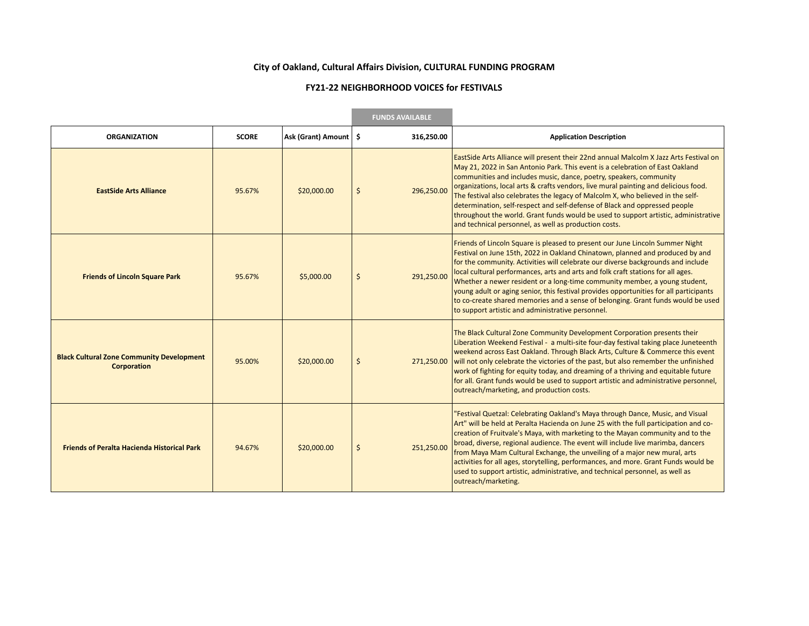#### **City of Oakland, Cultural Affairs Division, CULTURAL FUNDING PROGRAM**

#### **FY21-22 NEIGHBORHOOD VOICES for FESTIVALS**

the control of the control of the control of

|                                                                        |              | <b>FUNDS AVAILABLE</b>  |                  |                                                                                                                                                                                                                                                                                                                                                                                                                                                                                                                                                                                                                                                         |
|------------------------------------------------------------------------|--------------|-------------------------|------------------|---------------------------------------------------------------------------------------------------------------------------------------------------------------------------------------------------------------------------------------------------------------------------------------------------------------------------------------------------------------------------------------------------------------------------------------------------------------------------------------------------------------------------------------------------------------------------------------------------------------------------------------------------------|
| <b>ORGANIZATION</b>                                                    | <b>SCORE</b> | Ask (Grant) Amount   \$ | 316,250.00       | <b>Application Description</b>                                                                                                                                                                                                                                                                                                                                                                                                                                                                                                                                                                                                                          |
| <b>EastSide Arts Alliance</b>                                          | 95.67%       | \$20,000.00             | \$<br>296,250.00 | EastSide Arts Alliance will present their 22nd annual Malcolm X Jazz Arts Festival on<br>May 21, 2022 in San Antonio Park. This event is a celebration of East Oakland<br>communities and includes music, dance, poetry, speakers, community<br>organizations, local arts & crafts vendors, live mural painting and delicious food.<br>The festival also celebrates the legacy of Malcolm X, who believed in the self-<br>determination, self-respect and self-defense of Black and oppressed people<br>throughout the world. Grant funds would be used to support artistic, administrative<br>and technical personnel, as well as production costs.    |
| <b>Friends of Lincoln Square Park</b>                                  | 95.67%       | \$5,000.00              | \$<br>291,250.00 | Friends of Lincoln Square is pleased to present our June Lincoln Summer Night<br>Festival on June 15th, 2022 in Oakland Chinatown, planned and produced by and<br>for the community. Activities will celebrate our diverse backgrounds and include<br>local cultural performances, arts and arts and folk craft stations for all ages.<br>Whether a newer resident or a long-time community member, a young student,<br>young adult or aging senior, this festival provides opportunities for all participants<br>to co-create shared memories and a sense of belonging. Grant funds would be used<br>to support artistic and administrative personnel. |
| <b>Black Cultural Zone Community Development</b><br><b>Corporation</b> | 95.00%       | \$20,000.00             | \$<br>271,250.00 | The Black Cultural Zone Community Development Corporation presents their<br>Liberation Weekend Festival - a multi-site four-day festival taking place Juneteenth<br>weekend across East Oakland. Through Black Arts, Culture & Commerce this event<br>will not only celebrate the victories of the past, but also remember the unfinished<br>work of fighting for equity today, and dreaming of a thriving and equitable future<br>for all. Grant funds would be used to support artistic and administrative personnel,<br>outreach/marketing, and production costs.                                                                                    |
| <b>Friends of Peralta Hacienda Historical Park</b>                     | 94.67%       | \$20,000.00             | \$<br>251,250.00 | "Festival Quetzal: Celebrating Oakland's Maya through Dance, Music, and Visual<br>Art" will be held at Peralta Hacienda on June 25 with the full participation and co-<br>creation of Fruitvale's Maya, with marketing to the Mayan community and to the<br>broad, diverse, regional audience. The event will include live marimba, dancers<br>from Maya Mam Cultural Exchange, the unveiling of a major new mural, arts<br>activities for all ages, storytelling, performances, and more. Grant Funds would be<br>used to support artistic, administrative, and technical personnel, as well as<br>outreach/marketing.                                 |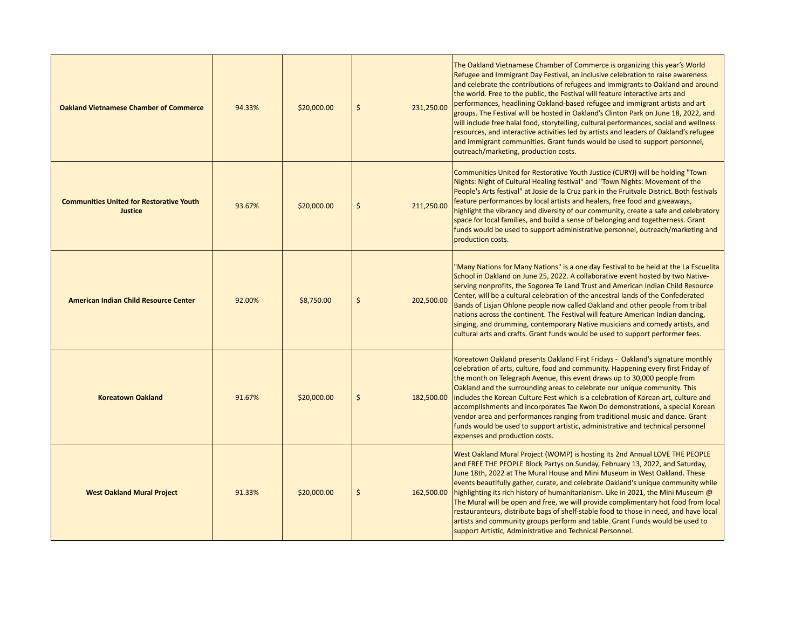| <b>Oakland Vietnamese Chamber of Commerce</b>              | 94.33% | \$20,000.00 | $\zeta$ | 231,250.00 | The Oakland Vietnamese Chamber of Commerce is organizing this year's World<br>Refugee and Immigrant Day Festival, an inclusive celebration to raise awareness<br>and celebrate the contributions of refugees and immigrants to Oakland and around<br>the world. Free to the public, the Festival will feature interactive arts and<br>performances, headlining Oakland-based refugee and immigrant artists and art<br>groups. The Festival will be hosted in Oakland's Clinton Park on June 18, 2022, and<br>will include free halal food, storytelling, cultural performances, social and wellness<br>resources, and interactive activities led by artists and leaders of Oakland's refugee                                                   |
|------------------------------------------------------------|--------|-------------|---------|------------|------------------------------------------------------------------------------------------------------------------------------------------------------------------------------------------------------------------------------------------------------------------------------------------------------------------------------------------------------------------------------------------------------------------------------------------------------------------------------------------------------------------------------------------------------------------------------------------------------------------------------------------------------------------------------------------------------------------------------------------------|
|                                                            |        |             |         |            | and immigrant communities. Grant funds would be used to support personnel,<br>outreach/marketing, production costs.                                                                                                                                                                                                                                                                                                                                                                                                                                                                                                                                                                                                                            |
| <b>Communities United for Restorative Youth</b><br>Justice | 93.67% | \$20,000.00 | \$      | 211,250.00 | Communities United for Restorative Youth Justice (CURYJ) will be holding "Town<br>Nights: Night of Cultural Healing festival" and "Town Nights: Movement of the<br>People's Arts festival" at Josie de la Cruz park in the Fruitvale District. Both festivals<br>feature performances by local artists and healers, free food and giveaways,<br>highlight the vibrancy and diversity of our community, create a safe and celebratory<br>space for local families, and build a sense of belonging and togetherness. Grant<br>funds would be used to support administrative personnel, outreach/marketing and<br>production costs.                                                                                                               |
| <b>American Indian Child Resource Center</b>               | 92.00% | \$8,750.00  | \$      | 202,500.00 | "Many Nations for Many Nations" is a one day Festival to be held at the La Escuelita<br>School in Oakland on June 25, 2022. A collaborative event hosted by two Native-<br>serving nonprofits, the Sogorea Te Land Trust and American Indian Child Resource<br>Center, will be a cultural celebration of the ancestral lands of the Confederated<br>Bands of Lisjan Ohlone people now called Oakland and other people from tribal<br>nations across the continent. The Festival will feature American Indian dancing,<br>singing, and drumming, contemporary Native musicians and comedy artists, and<br>cultural arts and crafts. Grant funds would be used to support performer fees.                                                        |
| <b>Koreatown Oakland</b>                                   | 91.67% | \$20,000.00 | $\zeta$ | 182,500.00 | Koreatown Oakland presents Oakland First Fridays - Oakland's signature monthly<br>celebration of arts, culture, food and community. Happening every first Friday of<br>the month on Telegraph Avenue, this event draws up to 30,000 people from<br>Oakland and the surrounding areas to celebrate our unique community. This<br>includes the Korean Culture Fest which is a celebration of Korean art, culture and<br>accomplishments and incorporates Tae Kwon Do demonstrations, a special Korean<br>vendor area and performances ranging from traditional music and dance. Grant<br>funds would be used to support artistic, administrative and technical personnel<br>expenses and production costs.                                       |
| <b>West Oakland Mural Project</b>                          | 91.33% | \$20,000.00 | $\zeta$ | 162,500.00 | West Oakland Mural Project (WOMP) is hosting its 2nd Annual LOVE THE PEOPLE<br>and FREE THE PEOPLE Block Partys on Sunday, February 13, 2022, and Saturday,<br>June 18th, 2022 at The Mural House and Mini Museum in West Oakland. These<br>events beautifully gather, curate, and celebrate Oakland's unique community while<br>highlighting its rich history of humanitarianism. Like in 2021, the Mini Museum @<br>The Mural will be open and free, we will provide complimentary hot food from local<br>restauranteurs, distribute bags of shelf-stable food to those in need, and have local<br>artists and community groups perform and table. Grant Funds would be used to<br>support Artistic, Administrative and Technical Personnel. |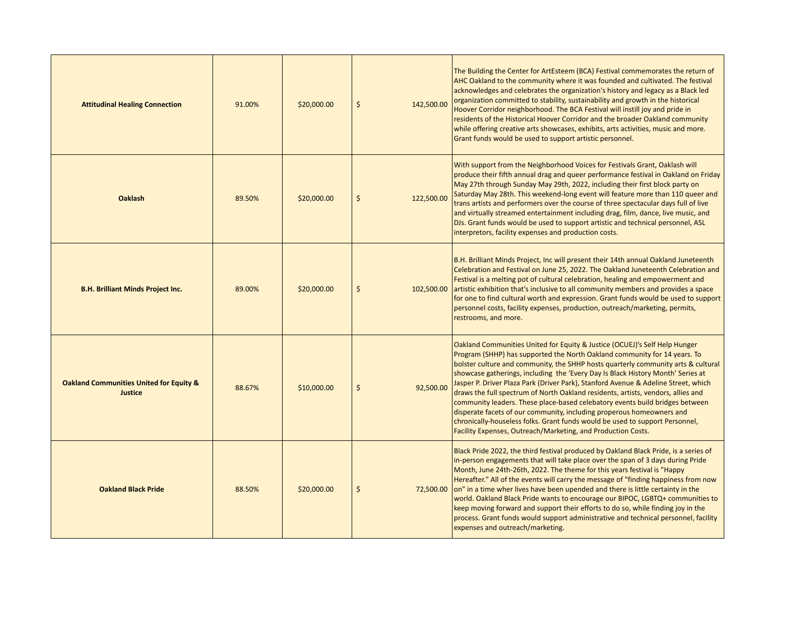| <b>Attitudinal Healing Connection</b>                                | 91.00% | \$20,000.00 | \$      | 142,500.00 | The Building the Center for ArtEsteem (BCA) Festival commemorates the return of<br>AHC Oakland to the community where it was founded and cultivated. The festival<br>acknowledges and celebrates the organization's history and legacy as a Black led<br>organization committed to stability, sustainability and growth in the historical<br>Hoover Corridor neighborhood. The BCA Festival will instill joy and pride in<br>residents of the Historical Hoover Corridor and the broader Oakland community<br>while offering creative arts showcases, exhibits, arts activities, music and more.<br>Grant funds would be used to support artistic personnel.                                                                                                                                                       |
|----------------------------------------------------------------------|--------|-------------|---------|------------|--------------------------------------------------------------------------------------------------------------------------------------------------------------------------------------------------------------------------------------------------------------------------------------------------------------------------------------------------------------------------------------------------------------------------------------------------------------------------------------------------------------------------------------------------------------------------------------------------------------------------------------------------------------------------------------------------------------------------------------------------------------------------------------------------------------------|
| <b>Oaklash</b>                                                       | 89.50% | \$20,000.00 | $\zeta$ | 122,500.00 | With support from the Neighborhood Voices for Festivals Grant, Oaklash will<br>produce their fifth annual drag and queer performance festival in Oakland on Friday<br>May 27th through Sunday May 29th, 2022, including their first block party on<br>Saturday May 28th. This weekend-long event will feature more than 110 queer and<br>trans artists and performers over the course of three spectacular days full of live<br>and virtually streamed entertainment including drag, film, dance, live music, and<br>DJs. Grant funds would be used to support artistic and technical personnel, ASL<br>interpretors, facility expenses and production costs.                                                                                                                                                      |
| <b>B.H. Brilliant Minds Project Inc.</b>                             | 89.00% | \$20,000.00 | $\zeta$ | 102,500.00 | B.H. Brilliant Minds Project, Inc will present their 14th annual Oakland Juneteenth<br>Celebration and Festival on June 25, 2022. The Oakland Juneteenth Celebration and<br>Festival is a melting pot of cultural celebration, healing and empowerment and<br>artistic exhibition that's inclusive to all community members and provides a space<br>for one to find cultural worth and expression. Grant funds would be used to support<br>personnel costs, facility expenses, production, outreach/marketing, permits,<br>restrooms, and more.                                                                                                                                                                                                                                                                    |
| <b>Oakland Communities United for Equity &amp;</b><br><b>Justice</b> | 88.67% | \$10,000.00 | $\zeta$ | 92.500.00  | Oakland Communities United for Equity & Justice (OCUEJ)'s Self Help Hunger<br>Program (SHHP) has supported the North Oakland community for 14 years. To<br>bolster culture and community, the SHHP hosts quarterly community arts & cultural<br>showcase gatherings, including the 'Every Day Is Black History Month' Series at<br>Jasper P. Driver Plaza Park (Driver Park), Stanford Avenue & Adeline Street, which<br>draws the full spectrum of North Oakland residents, artists, vendors, allies and<br>community leaders. These place-based celebatory events build bridges between<br>disperate facets of our community, including properous homeowners and<br>chronically-houseless folks. Grant funds would be used to support Personnel,<br>Facility Expenses, Outreach/Marketing, and Production Costs. |
| <b>Oakland Black Pride</b>                                           | 88.50% | \$20,000.00 | \$      | 72,500.00  | Black Pride 2022, the third festival produced by Oakland Black Pride, is a series of<br>in-person engagements that will take place over the span of 3 days during Pride<br>Month, June 24th-26th, 2022. The theme for this years festival is "Happy<br>Hereafter." All of the events will carry the message of "finding happiness from now<br>on" in a time wher lives have been upended and there is little certainty in the<br>world. Oakland Black Pride wants to encourage our BIPOC, LGBTQ+ communities to<br>keep moving forward and support their efforts to do so, while finding joy in the<br>process. Grant funds would support administrative and technical personnel, facility<br>expenses and outreach/marketing.                                                                                     |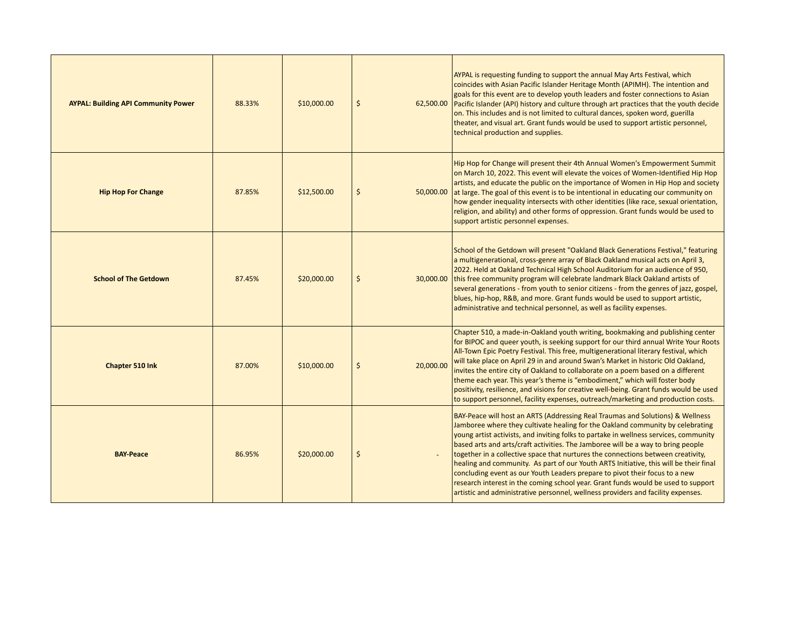| <b>AYPAL: Building API Community Power</b> | 88.33% | \$10,000.00 | $\zeta$              | AYPAL is requesting funding to support the annual May Arts Festival, which<br>coincides with Asian Pacific Islander Heritage Month (APIMH). The intention and<br>goals for this event are to develop youth leaders and foster connections to Asian<br>62,500.00 Pacific Islander (API) history and culture through art practices that the youth decide<br>on. This includes and is not limited to cultural dances, spoken word, guerilla<br>theater, and visual art. Grant funds would be used to support artistic personnel,<br>technical production and supplies.                                                                                                                                                                                                                           |
|--------------------------------------------|--------|-------------|----------------------|-----------------------------------------------------------------------------------------------------------------------------------------------------------------------------------------------------------------------------------------------------------------------------------------------------------------------------------------------------------------------------------------------------------------------------------------------------------------------------------------------------------------------------------------------------------------------------------------------------------------------------------------------------------------------------------------------------------------------------------------------------------------------------------------------|
| <b>Hip Hop For Change</b>                  | 87.85% | \$12,500.00 | \$                   | Hip Hop for Change will present their 4th Annual Women's Empowerment Summit<br>on March 10, 2022. This event will elevate the voices of Women-Identified Hip Hop<br>artists, and educate the public on the importance of Women in Hip Hop and society<br>50,000.00 at large. The goal of this event is to be intentional in educating our community on<br>how gender inequality intersects with other identities (like race, sexual orientation,<br>religion, and ability) and other forms of oppression. Grant funds would be used to<br>support artistic personnel expenses.                                                                                                                                                                                                                |
| <b>School of The Getdown</b>               | 87.45% | \$20,000.00 | \$<br>30,000.00      | School of the Getdown will present "Oakland Black Generations Festival," featuring<br>a multigenerational, cross-genre array of Black Oakland musical acts on April 3,<br>2022. Held at Oakland Technical High School Auditorium for an audience of 950,<br>this free community program will celebrate landmark Black Oakland artists of<br>several generations - from youth to senior citizens - from the genres of jazz, gospel,<br>blues, hip-hop, R&B, and more. Grant funds would be used to support artistic,<br>administrative and technical personnel, as well as facility expenses.                                                                                                                                                                                                  |
| Chapter 510 Ink                            | 87.00% | \$10,000.00 | $\zeta$<br>20,000.00 | Chapter 510, a made-in-Oakland youth writing, bookmaking and publishing center<br>for BIPOC and queer youth, is seeking support for our third annual Write Your Roots<br>All-Town Epic Poetry Festival. This free, multigenerational literary festival, which<br>will take place on April 29 in and around Swan's Market in historic Old Oakland,<br>invites the entire city of Oakland to collaborate on a poem based on a different<br>theme each year. This year's theme is "embodiment," which will foster body<br>positivity, resilience, and visions for creative well-being. Grant funds would be used<br>to support personnel, facility expenses, outreach/marketing and production costs.                                                                                            |
| <b>BAY-Peace</b>                           | 86.95% | \$20,000.00 | \$                   | <b>BAY-Peace will host an ARTS (Addressing Real Traumas and Solutions) &amp; Wellness</b><br>Jamboree where they cultivate healing for the Oakland community by celebrating<br>young artist activists, and inviting folks to partake in wellness services, community<br>based arts and arts/craft activities. The Jamboree will be a way to bring people<br>together in a collective space that nurtures the connections between creativity,<br>healing and community. As part of our Youth ARTS Initiative, this will be their final<br>concluding event as our Youth Leaders prepare to pivot their focus to a new<br>research interest in the coming school year. Grant funds would be used to support<br>artistic and administrative personnel, wellness providers and facility expenses. |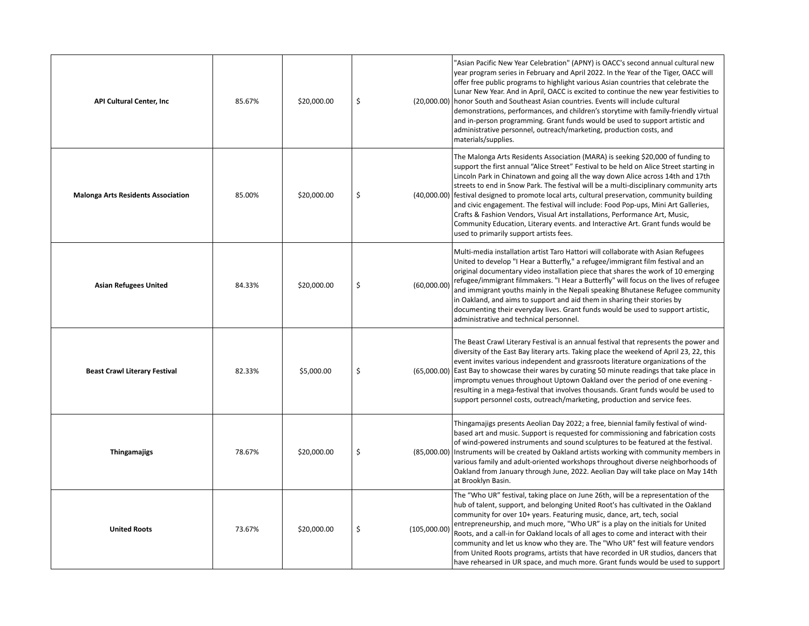| <b>API Cultural Center, Inc.</b>          | 85.67% | \$20,000.00 | \$<br>(20,000.00)  | 'Asian Pacific New Year Celebration" (APNY) is OACC's second annual cultural new<br>year program series in February and April 2022. In the Year of the Tiger, OACC will<br>offer free public programs to highlight various Asian countries that celebrate the<br>Lunar New Year. And in April, OACC is excited to continue the new year festivities to<br>honor South and Southeast Asian countries. Events will include cultural<br>demonstrations, performances, and children's storytime with family-friendly virtual<br>and in-person programming. Grant funds would be used to support artistic and<br>administrative personnel, outreach/marketing, production costs, and<br>materials/supplies.                                                      |
|-------------------------------------------|--------|-------------|--------------------|-------------------------------------------------------------------------------------------------------------------------------------------------------------------------------------------------------------------------------------------------------------------------------------------------------------------------------------------------------------------------------------------------------------------------------------------------------------------------------------------------------------------------------------------------------------------------------------------------------------------------------------------------------------------------------------------------------------------------------------------------------------|
| <b>Malonga Arts Residents Association</b> | 85.00% | \$20,000.00 | \$                 | The Malonga Arts Residents Association (MARA) is seeking \$20,000 of funding to<br>support the first annual "Alice Street" Festival to be held on Alice Street starting in<br>Lincoln Park in Chinatown and going all the way down Alice across 14th and 17th<br>streets to end in Snow Park. The festival will be a multi-disciplinary community arts<br>(40,000.00) festival designed to promote local arts, cultural preservation, community building<br>and civic engagement. The festival will include: Food Pop-ups, Mini Art Galleries,<br>Crafts & Fashion Vendors, Visual Art installations, Performance Art, Music,<br>Community Education, Literary events. and Interactive Art. Grant funds would be<br>used to primarily support artists fees. |
| <b>Asian Refugees United</b>              | 84.33% | \$20,000.00 | \$<br>(60,000.00)  | Multi-media installation artist Taro Hattori will collaborate with Asian Refugees<br>United to develop "I Hear a Butterfly," a refugee/immigrant film festival and an<br>original documentary video installation piece that shares the work of 10 emerging<br>refugee/immigrant filmmakers. "I Hear a Butterfly" will focus on the lives of refugee<br>and immigrant youths mainly in the Nepali speaking Bhutanese Refugee community<br>in Oakland, and aims to support and aid them in sharing their stories by<br>documenting their everyday lives. Grant funds would be used to support artistic,<br>administrative and technical personnel.                                                                                                            |
| <b>Beast Crawl Literary Festival</b>      | 82.33% | \$5,000.00  | \$<br>(65,000.00)  | The Beast Crawl Literary Festival is an annual festival that represents the power and<br>diversity of the East Bay literary arts. Taking place the weekend of April 23, 22, this<br>event invites various independent and grassroots literature organizations of the<br>East Bay to showcase their wares by curating 50 minute readings that take place in<br>impromptu venues throughout Uptown Oakland over the period of one evening -<br>resulting in a mega-festival that involves thousands. Grant funds would be used to<br>support personnel costs, outreach/marketing, production and service fees.                                                                                                                                                |
| Thingamajigs                              | 78.67% | \$20,000.00 | \$<br>(85,000.00)  | Thingamajigs presents Aeolian Day 2022; a free, biennial family festival of wind-<br>based art and music. Support is requested for commissioning and fabrication costs<br>of wind-powered instruments and sound sculptures to be featured at the festival.<br>Instruments will be created by Oakland artists working with community members in<br>various family and adult-oriented workshops throughout diverse neighborhoods of<br>Oakland from January through June, 2022. Aeolian Day will take place on May 14th<br>at Brooklyn Basin.                                                                                                                                                                                                                 |
| <b>United Roots</b>                       | 73.67% | \$20,000.00 | \$<br>(105,000.00) | The "Who UR" festival, taking place on June 26th, will be a representation of the<br>hub of talent, support, and belonging United Root's has cultivated in the Oakland<br>community for over 10+ years. Featuring music, dance, art, tech, social<br>entrepreneurship, and much more, "Who UR" is a play on the initials for United<br>Roots, and a call-in for Oakland locals of all ages to come and interact with their<br>community and let us know who they are. The "Who UR" fest will feature vendors<br>from United Roots programs, artists that have recorded in UR studios, dancers that<br>have rehearsed in UR space, and much more. Grant funds would be used to support                                                                       |

personnel, facility expenses, outreach/marketing, and production costs.